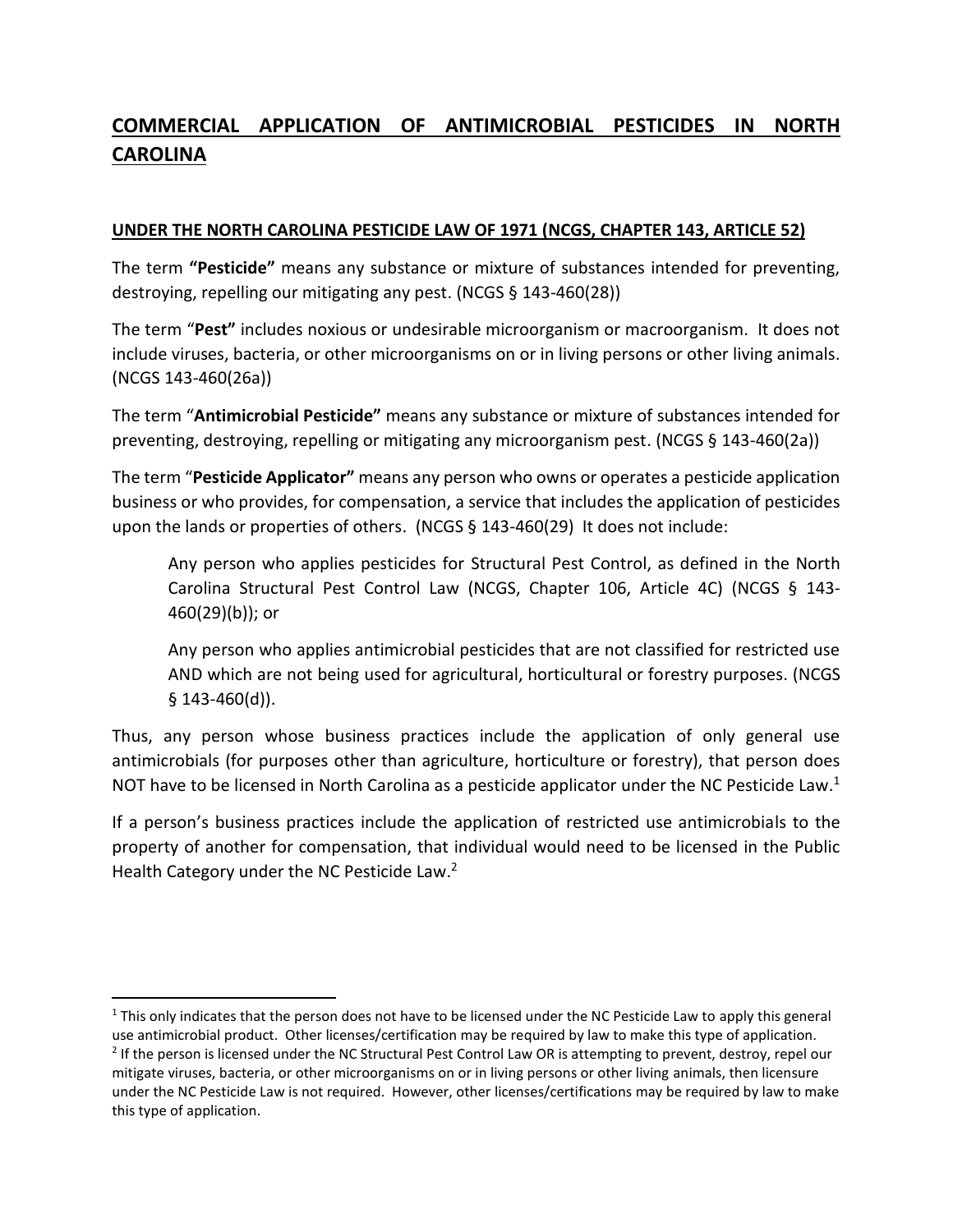## **COMMERCIAL APPLICATION OF ANTIMICROBIAL PESTICIDES IN NORTH CAROLINA**

## **UNDER THE NORTH CAROLINA PESTICIDE LAW OF 1971 (NCGS, CHAPTER 143, ARTICLE 52)**

The term **"Pesticide"** means any substance or mixture of substances intended for preventing, destroying, repelling our mitigating any pest. (NCGS § 143-460(28))

The term "**Pest"** includes noxious or undesirable microorganism or macroorganism. It does not include viruses, bacteria, or other microorganisms on or in living persons or other living animals. (NCGS 143-460(26a))

The term "**Antimicrobial Pesticide"** means any substance or mixture of substances intended for preventing, destroying, repelling or mitigating any microorganism pest. (NCGS § 143-460(2a))

The term "**Pesticide Applicator"** means any person who owns or operates a pesticide application business or who provides, for compensation, a service that includes the application of pesticides upon the lands or properties of others. (NCGS § 143-460(29) It does not include:

Any person who applies pesticides for Structural Pest Control, as defined in the North Carolina Structural Pest Control Law (NCGS, Chapter 106, Article 4C) (NCGS § 143- 460(29)(b)); or

Any person who applies antimicrobial pesticides that are not classified for restricted use AND which are not being used for agricultural, horticultural or forestry purposes. (NCGS § 143-460(d)).

Thus, any person whose business practices include the application of only general use antimicrobials (for purposes other than agriculture, horticulture or forestry), that person does NOT have to be licensed in North Carolina as a pesticide applicator under the NC Pesticide Law.<sup>1</sup>

If a person's business practices include the application of restricted use antimicrobials to the property of another for compensation, that individual would need to be licensed in the Public Health Category under the NC Pesticide Law.<sup>2</sup>

l <sup>1</sup> This only indicates that the person does not have to be licensed under the NC Pesticide Law to apply this general use antimicrobial product. Other licenses/certification may be required by law to make this type of application.

<sup>&</sup>lt;sup>2</sup> If the person is licensed under the NC Structural Pest Control Law OR is attempting to prevent, destroy, repel our mitigate viruses, bacteria, or other microorganisms on or in living persons or other living animals, then licensure under the NC Pesticide Law is not required. However, other licenses/certifications may be required by law to make this type of application.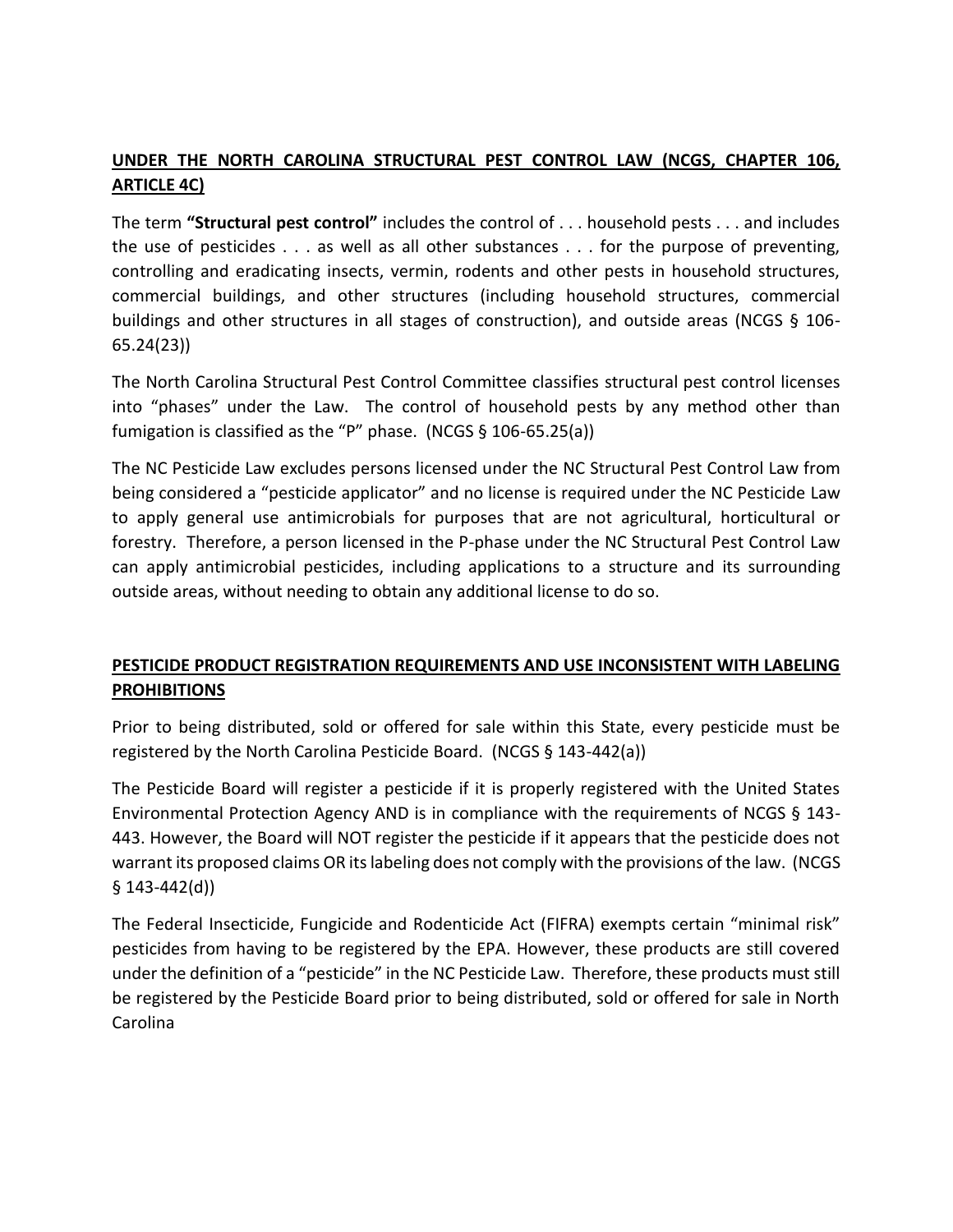## **UNDER THE NORTH CAROLINA STRUCTURAL PEST CONTROL LAW (NCGS, CHAPTER 106, ARTICLE 4C)**

The term **"Structural pest control"** includes the control of . . . household pests . . . and includes the use of pesticides . . . as well as all other substances . . . for the purpose of preventing, controlling and eradicating insects, vermin, rodents and other pests in household structures, commercial buildings, and other structures (including household structures, commercial buildings and other structures in all stages of construction), and outside areas (NCGS § 106- 65.24(23))

The North Carolina Structural Pest Control Committee classifies structural pest control licenses into "phases" under the Law. The control of household pests by any method other than fumigation is classified as the "P" phase. (NCGS § 106-65.25(a))

The NC Pesticide Law excludes persons licensed under the NC Structural Pest Control Law from being considered a "pesticide applicator" and no license is required under the NC Pesticide Law to apply general use antimicrobials for purposes that are not agricultural, horticultural or forestry. Therefore, a person licensed in the P-phase under the NC Structural Pest Control Law can apply antimicrobial pesticides, including applications to a structure and its surrounding outside areas, without needing to obtain any additional license to do so.

## **PESTICIDE PRODUCT REGISTRATION REQUIREMENTS AND USE INCONSISTENT WITH LABELING PROHIBITIONS**

Prior to being distributed, sold or offered for sale within this State, every pesticide must be registered by the North Carolina Pesticide Board. (NCGS § 143-442(a))

The Pesticide Board will register a pesticide if it is properly registered with the United States Environmental Protection Agency AND is in compliance with the requirements of NCGS § 143- 443. However, the Board will NOT register the pesticide if it appears that the pesticide does not warrant its proposed claims OR its labeling does not comply with the provisions of the law. (NCGS § 143-442(d))

The Federal Insecticide, Fungicide and Rodenticide Act (FIFRA) exempts certain "minimal risk" pesticides from having to be registered by the EPA. However, these products are still covered under the definition of a "pesticide" in the NC Pesticide Law. Therefore, these products must still be registered by the Pesticide Board prior to being distributed, sold or offered for sale in North Carolina